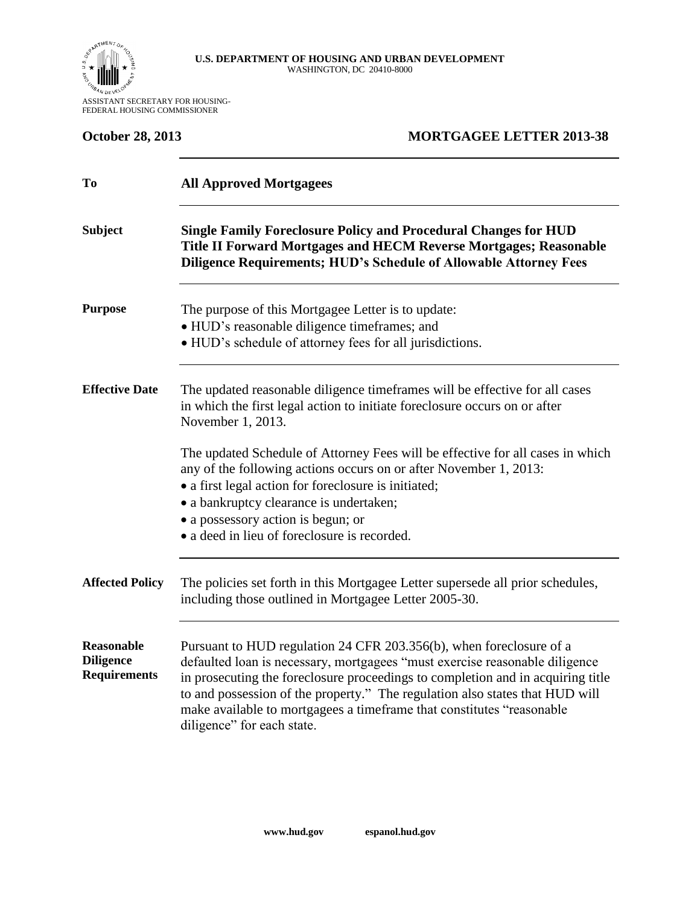

ASSISTANT SECRETARY FOR HOUSING-FEDERAL HOUSING COMMISSIONER

| <b>October 28, 2013</b>                                      | <b>MORTGAGEE LETTER 2013-38</b>                                                                                                                                                                                                                                                                                                                                                                                              |  |  |  |  |
|--------------------------------------------------------------|------------------------------------------------------------------------------------------------------------------------------------------------------------------------------------------------------------------------------------------------------------------------------------------------------------------------------------------------------------------------------------------------------------------------------|--|--|--|--|
| To                                                           | <b>All Approved Mortgagees</b>                                                                                                                                                                                                                                                                                                                                                                                               |  |  |  |  |
| <b>Subject</b>                                               | <b>Single Family Foreclosure Policy and Procedural Changes for HUD</b><br>Title II Forward Mortgages and HECM Reverse Mortgages; Reasonable<br><b>Diligence Requirements; HUD's Schedule of Allowable Attorney Fees</b>                                                                                                                                                                                                      |  |  |  |  |
| <b>Purpose</b>                                               | The purpose of this Mortgagee Letter is to update:<br>• HUD's reasonable diligence timeframes; and<br>• HUD's schedule of attorney fees for all jurisdictions.                                                                                                                                                                                                                                                               |  |  |  |  |
| <b>Effective Date</b>                                        | The updated reasonable diligence timeframes will be effective for all cases<br>in which the first legal action to initiate foreclosure occurs on or after<br>November 1, 2013.                                                                                                                                                                                                                                               |  |  |  |  |
|                                                              | The updated Schedule of Attorney Fees will be effective for all cases in which<br>any of the following actions occurs on or after November 1, 2013:<br>• a first legal action for foreclosure is initiated;<br>· a bankruptcy clearance is undertaken;<br>• a possessory action is begun; or<br>• a deed in lieu of foreclosure is recorded.                                                                                 |  |  |  |  |
| <b>Affected Policy</b>                                       | The policies set forth in this Mortgagee Letter supersede all prior schedules,<br>including those outlined in Mortgagee Letter 2005-30.                                                                                                                                                                                                                                                                                      |  |  |  |  |
| <b>Reasonable</b><br><b>Diligence</b><br><b>Requirements</b> | Pursuant to HUD regulation 24 CFR 203.356(b), when foreclosure of a<br>defaulted loan is necessary, mortgagees "must exercise reasonable diligence<br>in prosecuting the foreclosure proceedings to completion and in acquiring title<br>to and possession of the property." The regulation also states that HUD will<br>make available to mortgagees a timeframe that constitutes "reasonable<br>diligence" for each state. |  |  |  |  |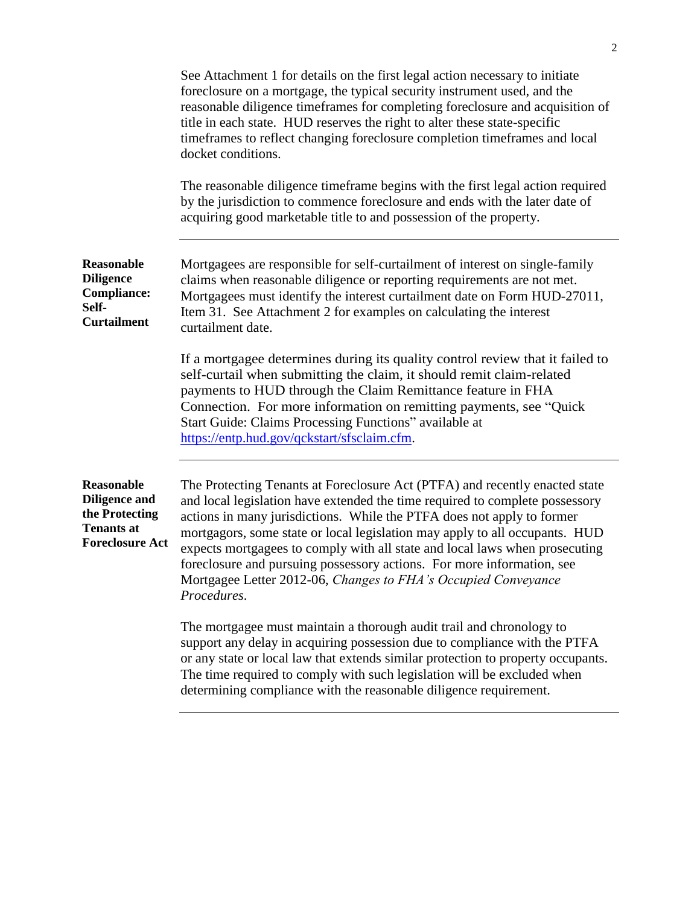|                                                                                                     | See Attachment 1 for details on the first legal action necessary to initiate<br>foreclosure on a mortgage, the typical security instrument used, and the<br>reasonable diligence timeframes for completing foreclosure and acquisition of<br>title in each state. HUD reserves the right to alter these state-specific<br>timeframes to reflect changing foreclosure completion timeframes and local<br>docket conditions.<br>The reasonable diligence timeframe begins with the first legal action required<br>by the jurisdiction to commence foreclosure and ends with the later date of<br>acquiring good marketable title to and possession of the property. |  |
|-----------------------------------------------------------------------------------------------------|-------------------------------------------------------------------------------------------------------------------------------------------------------------------------------------------------------------------------------------------------------------------------------------------------------------------------------------------------------------------------------------------------------------------------------------------------------------------------------------------------------------------------------------------------------------------------------------------------------------------------------------------------------------------|--|
| <b>Reasonable</b><br><b>Diligence</b><br><b>Compliance:</b><br>Self-<br><b>Curtailment</b>          | Mortgagees are responsible for self-curtailment of interest on single-family<br>claims when reasonable diligence or reporting requirements are not met.<br>Mortgagees must identify the interest curtailment date on Form HUD-27011,<br>Item 31. See Attachment 2 for examples on calculating the interest<br>curtailment date.                                                                                                                                                                                                                                                                                                                                   |  |
|                                                                                                     | If a mortgagee determines during its quality control review that it failed to<br>self-curtail when submitting the claim, it should remit claim-related<br>payments to HUD through the Claim Remittance feature in FHA<br>Connection. For more information on remitting payments, see "Quick"<br>Start Guide: Claims Processing Functions" available at<br>https://entp.hud.gov/qckstart/sfsclaim.cfm.                                                                                                                                                                                                                                                             |  |
| Reasonable<br><b>Diligence and</b><br>the Protecting<br><b>Tenants at</b><br><b>Foreclosure Act</b> | The Protecting Tenants at Foreclosure Act (PTFA) and recently enacted state<br>and local legislation have extended the time required to complete possessory<br>actions in many jurisdictions. While the PTFA does not apply to former<br>mortgagors, some state or local legislation may apply to all occupants. HUD<br>expects mortgagees to comply with all state and local laws when prosecuting<br>foreclosure and pursuing possessory actions. For more information, see<br>Mortgagee Letter 2012-06, Changes to FHA's Occupied Conveyance<br>Procedures.                                                                                                    |  |
|                                                                                                     | The mortgagee must maintain a thorough audit trail and chronology to<br>support any delay in acquiring possession due to compliance with the PTFA<br>or any state or local law that extends similar protection to property occupants.<br>The time required to comply with such legislation will be excluded when<br>determining compliance with the reasonable diligence requirement.                                                                                                                                                                                                                                                                             |  |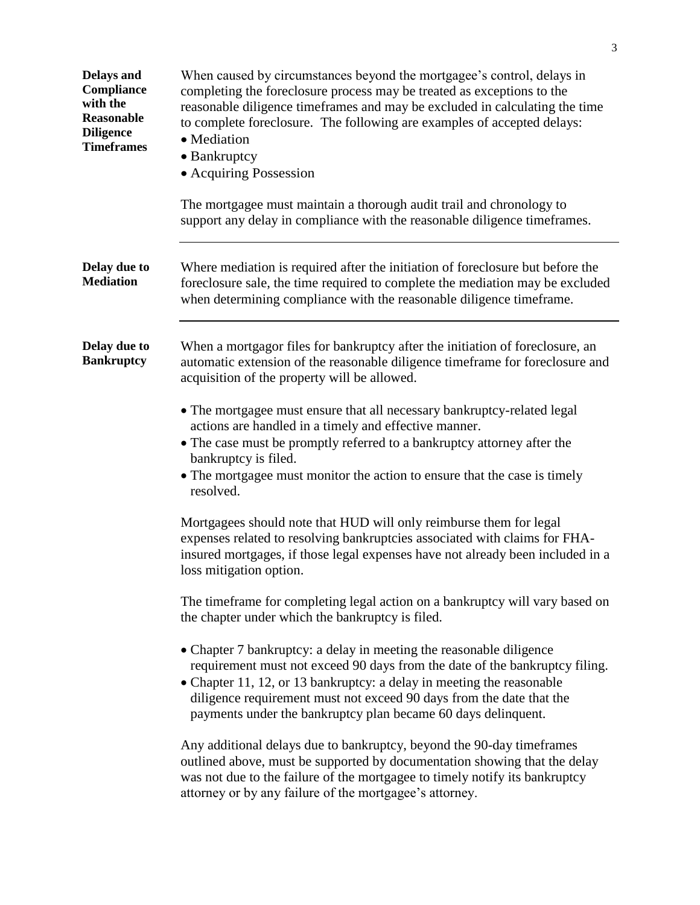| <b>Delays and</b><br>Compliance<br>with the<br><b>Reasonable</b><br><b>Diligence</b><br><b>Timeframes</b> | When caused by circumstances beyond the mortgagee's control, delays in<br>completing the foreclosure process may be treated as exceptions to the<br>reasonable diligence timeframes and may be excluded in calculating the time<br>to complete foreclosure. The following are examples of accepted delays:<br>• Mediation<br>• Bankruptcy<br>• Acquiring Possession<br>The mortgagee must maintain a thorough audit trail and chronology to<br>support any delay in compliance with the reasonable diligence timeframes. |  |  |  |
|-----------------------------------------------------------------------------------------------------------|--------------------------------------------------------------------------------------------------------------------------------------------------------------------------------------------------------------------------------------------------------------------------------------------------------------------------------------------------------------------------------------------------------------------------------------------------------------------------------------------------------------------------|--|--|--|
| Delay due to<br><b>Mediation</b>                                                                          | Where mediation is required after the initiation of foreclosure but before the<br>foreclosure sale, the time required to complete the mediation may be excluded<br>when determining compliance with the reasonable diligence timeframe.                                                                                                                                                                                                                                                                                  |  |  |  |
| Delay due to<br><b>Bankruptcy</b>                                                                         | When a mortgagor files for bankruptcy after the initiation of foreclosure, an<br>automatic extension of the reasonable diligence timeframe for foreclosure and<br>acquisition of the property will be allowed.                                                                                                                                                                                                                                                                                                           |  |  |  |
|                                                                                                           | • The mortgagee must ensure that all necessary bankruptcy-related legal<br>actions are handled in a timely and effective manner.<br>• The case must be promptly referred to a bankruptcy attorney after the<br>bankruptcy is filed.<br>• The mortgagee must monitor the action to ensure that the case is timely<br>resolved.                                                                                                                                                                                            |  |  |  |
|                                                                                                           | Mortgagees should note that HUD will only reimburse them for legal<br>expenses related to resolving bankruptcies associated with claims for FHA-<br>insured mortgages, if those legal expenses have not already been included in a<br>loss mitigation option.                                                                                                                                                                                                                                                            |  |  |  |
|                                                                                                           | The timeframe for completing legal action on a bankruptcy will vary based on<br>the chapter under which the bankruptcy is filed.                                                                                                                                                                                                                                                                                                                                                                                         |  |  |  |
|                                                                                                           | • Chapter 7 bankruptcy: a delay in meeting the reasonable diligence<br>requirement must not exceed 90 days from the date of the bankruptcy filing.<br>• Chapter 11, 12, or 13 bankruptcy: a delay in meeting the reasonable<br>diligence requirement must not exceed 90 days from the date that the<br>payments under the bankruptcy plan became 60 days delinquent.                                                                                                                                                     |  |  |  |
|                                                                                                           | Any additional delays due to bankruptcy, beyond the 90-day timeframes<br>outlined above, must be supported by documentation showing that the delay<br>was not due to the failure of the mortgagee to timely notify its bankruptcy<br>attorney or by any failure of the mortgagee's attorney.                                                                                                                                                                                                                             |  |  |  |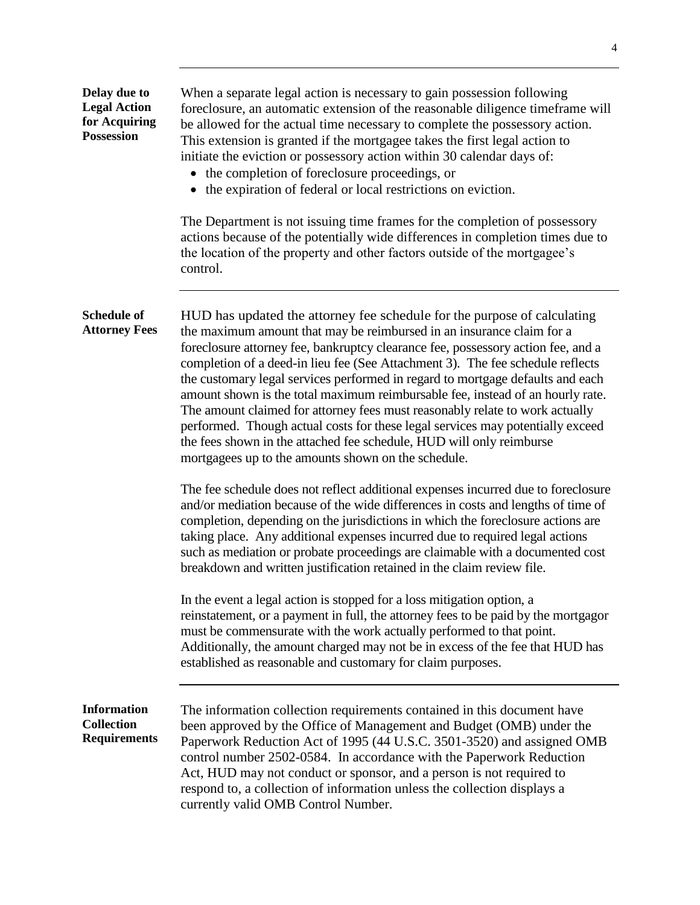| Delay due to<br><b>Legal Action</b><br>for Acquiring<br><b>Possession</b> | When a separate legal action is necessary to gain possession following<br>foreclosure, an automatic extension of the reasonable diligence timeframe will<br>be allowed for the actual time necessary to complete the possessory action.<br>This extension is granted if the mortgagee takes the first legal action to<br>initiate the eviction or possessory action within 30 calendar days of:<br>• the completion of foreclosure proceedings, or<br>• the expiration of federal or local restrictions on eviction.                                                                                                                                                                                                                                                                         |  |  |  |
|---------------------------------------------------------------------------|----------------------------------------------------------------------------------------------------------------------------------------------------------------------------------------------------------------------------------------------------------------------------------------------------------------------------------------------------------------------------------------------------------------------------------------------------------------------------------------------------------------------------------------------------------------------------------------------------------------------------------------------------------------------------------------------------------------------------------------------------------------------------------------------|--|--|--|
|                                                                           | The Department is not issuing time frames for the completion of possessory<br>actions because of the potentially wide differences in completion times due to<br>the location of the property and other factors outside of the mortgagee's<br>control.                                                                                                                                                                                                                                                                                                                                                                                                                                                                                                                                        |  |  |  |
| <b>Schedule of</b><br><b>Attorney Fees</b>                                | HUD has updated the attorney fee schedule for the purpose of calculating<br>the maximum amount that may be reimbursed in an insurance claim for a<br>foreclosure attorney fee, bankruptcy clearance fee, possessory action fee, and a<br>completion of a deed-in lieu fee (See Attachment 3). The fee schedule reflects<br>the customary legal services performed in regard to mortgage defaults and each<br>amount shown is the total maximum reimbursable fee, instead of an hourly rate.<br>The amount claimed for attorney fees must reasonably relate to work actually<br>performed. Though actual costs for these legal services may potentially exceed<br>the fees shown in the attached fee schedule, HUD will only reimburse<br>mortgagees up to the amounts shown on the schedule. |  |  |  |
|                                                                           | The fee schedule does not reflect additional expenses incurred due to foreclosure<br>and/or mediation because of the wide differences in costs and lengths of time of<br>completion, depending on the jurisdictions in which the foreclosure actions are<br>taking place. Any additional expenses incurred due to required legal actions<br>such as mediation or probate proceedings are claimable with a documented cost<br>breakdown and written justification retained in the claim review file.                                                                                                                                                                                                                                                                                          |  |  |  |
|                                                                           | In the event a legal action is stopped for a loss mitigation option, a<br>reinstatement, or a payment in full, the attorney fees to be paid by the mortgagor<br>must be commensurate with the work actually performed to that point.<br>Additionally, the amount charged may not be in excess of the fee that HUD has<br>established as reasonable and customary for claim purposes.                                                                                                                                                                                                                                                                                                                                                                                                         |  |  |  |
| <b>Information</b><br><b>Collection</b><br><b>Requirements</b>            | The information collection requirements contained in this document have<br>been approved by the Office of Management and Budget (OMB) under the<br>Paperwork Reduction Act of 1995 (44 U.S.C. 3501-3520) and assigned OMB<br>control number 2502-0584. In accordance with the Paperwork Reduction<br>Act, HUD may not conduct or sponsor, and a person is not required to<br>respond to, a collection of information unless the collection displays a<br>currently valid OMB Control Number.                                                                                                                                                                                                                                                                                                 |  |  |  |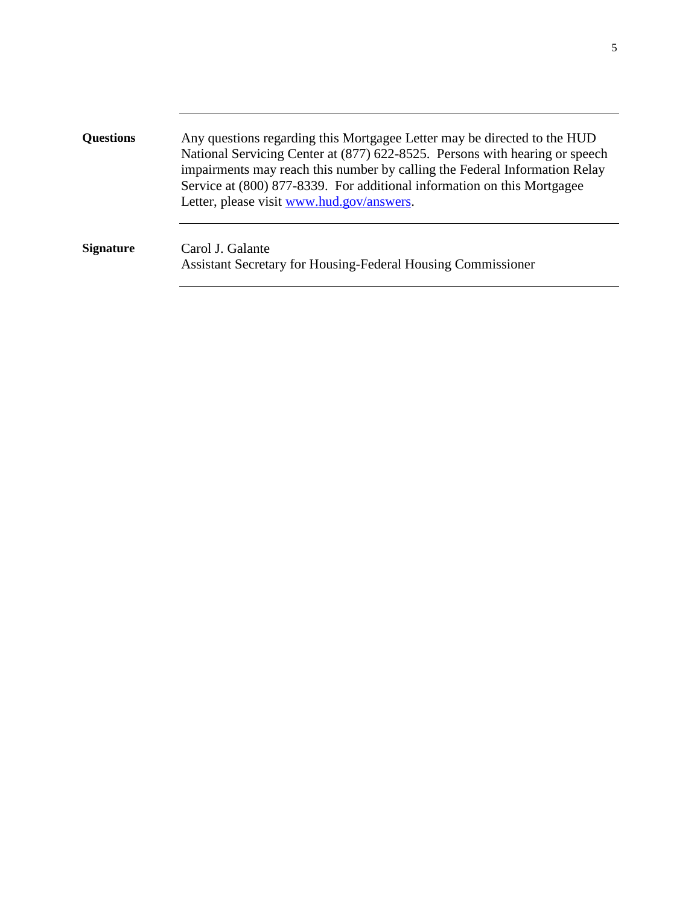| <b>Questions</b> | Any questions regarding this Mortgagee Letter may be directed to the HUD<br>National Servicing Center at (877) 622-8525. Persons with hearing or speech<br>impairments may reach this number by calling the Federal Information Relay<br>Service at (800) 877-8339. For additional information on this Mortgagee<br>Letter, please visit www.hud.gov/answers. |
|------------------|---------------------------------------------------------------------------------------------------------------------------------------------------------------------------------------------------------------------------------------------------------------------------------------------------------------------------------------------------------------|
| <b>Signature</b> | Carol J. Galante<br><b>Assistant Secretary for Housing-Federal Housing Commissioner</b>                                                                                                                                                                                                                                                                       |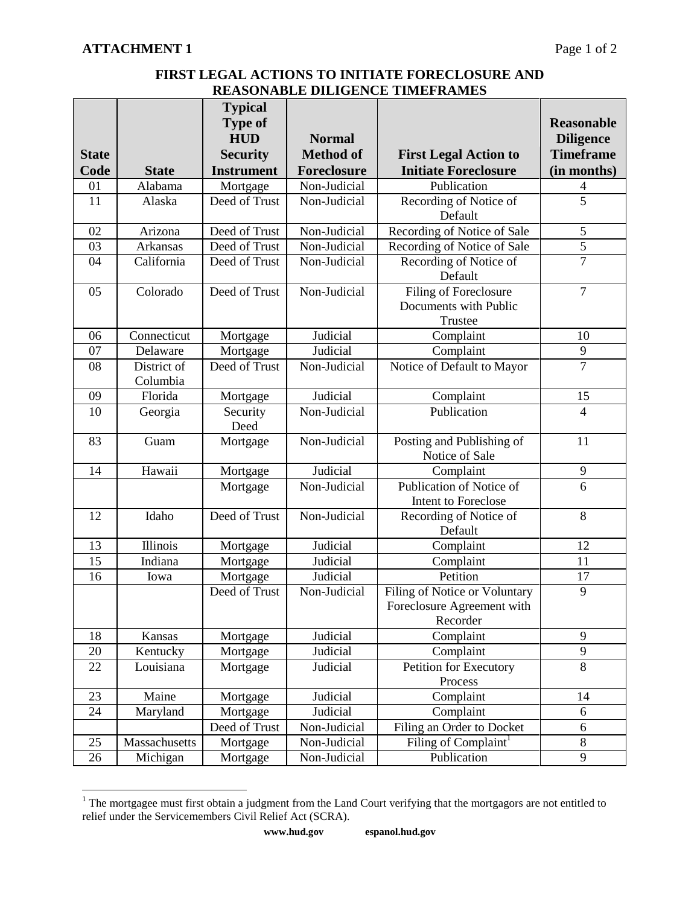## **FIRST LEGAL ACTIONS TO INITIATE FORECLOSURE AND REASONABLE DILIGENCE TIMEFRAMES**

|              |                 | <b>Typical</b>    |                  |                                             |                   |
|--------------|-----------------|-------------------|------------------|---------------------------------------------|-------------------|
|              |                 | <b>Type of</b>    |                  |                                             | <b>Reasonable</b> |
|              |                 | <b>HUD</b>        | <b>Normal</b>    |                                             | <b>Diligence</b>  |
| <b>State</b> |                 | <b>Security</b>   | <b>Method of</b> | <b>First Legal Action to</b>                | <b>Timeframe</b>  |
| Code         | <b>State</b>    | <b>Instrument</b> | Foreclosure      | <b>Initiate Foreclosure</b>                 | (in months)       |
| 01           | Alabama         | Mortgage          | Non-Judicial     | Publication                                 | 4                 |
| 11           | Alaska          | Deed of Trust     | Non-Judicial     | Recording of Notice of                      | 5                 |
|              |                 |                   |                  | Default                                     |                   |
| 02           | Arizona         | Deed of Trust     | Non-Judicial     | Recording of Notice of Sale                 | 5                 |
| 03           | <b>Arkansas</b> | Deed of Trust     | Non-Judicial     | Recording of Notice of Sale                 | $\overline{5}$    |
| 04           | California      | Deed of Trust     | Non-Judicial     | Recording of Notice of<br>Default           | $\overline{7}$    |
| 05           | Colorado        | Deed of Trust     | Non-Judicial     | Filing of Foreclosure                       | $\tau$            |
|              |                 |                   |                  | Documents with Public<br>Trustee            |                   |
| 06           | Connecticut     | Mortgage          | Judicial         | Complaint                                   | 10                |
| 07           | Delaware        | Mortgage          | Judicial         | Complaint                                   | 9                 |
| 08           | District of     | Deed of Trust     | Non-Judicial     | Notice of Default to Mayor                  | $\overline{7}$    |
|              | Columbia        |                   |                  |                                             |                   |
| 09           | Florida         | Mortgage          | Judicial         | Complaint                                   | 15                |
| 10           | Georgia         | Security<br>Deed  | Non-Judicial     | Publication                                 | $\overline{4}$    |
| 83           | Guam            | Mortgage          | Non-Judicial     | Posting and Publishing of<br>Notice of Sale | 11                |
| 14           | Hawaii          | Mortgage          | Judicial         | Complaint                                   | $\mathbf{9}$      |
|              |                 | Mortgage          | Non-Judicial     | Publication of Notice of                    | $\overline{6}$    |
|              |                 |                   |                  | Intent to Foreclose                         |                   |
| 12           | Idaho           | Deed of Trust     | Non-Judicial     | Recording of Notice of                      | 8                 |
|              |                 |                   |                  | Default                                     |                   |
| 13           | Illinois        | Mortgage          | Judicial         | Complaint                                   | 12                |
| 15           | Indiana         | Mortgage          | Judicial         | Complaint                                   | 11                |
| 16           | Iowa            | Mortgage          | Judicial         | Petition                                    | 17                |
|              |                 | Deed of Trust     | Non-Judicial     | Filing of Notice or Voluntary               | 9                 |
|              |                 |                   |                  | Foreclosure Agreement with                  |                   |
|              |                 |                   |                  | Recorder                                    |                   |
| 18           | Kansas          | Mortgage          | Judicial         | Complaint                                   | 9                 |
| 20           | Kentucky        | Mortgage          | Judicial         | Complaint                                   | 9                 |
| 22           | Louisiana       | Mortgage          | Judicial         | <b>Petition for Executory</b>               | 8                 |
|              |                 |                   |                  | Process                                     |                   |
| 23           | Maine           | Mortgage          | Judicial         | Complaint                                   | 14                |
| 24           | Maryland        | Mortgage          | Judicial         | Complaint                                   | 6                 |
|              |                 | Deed of Trust     | Non-Judicial     | Filing an Order to Docket                   | $6\,$             |
| 25           | Massachusetts   | Mortgage          | Non-Judicial     | Filing of Complaint <sup>1</sup>            | $\overline{8}$    |
| 26           | Michigan        | Mortgage          | Non-Judicial     | Publication                                 | $\overline{9}$    |

 $\overline{a}$  $1$  The mortgagee must first obtain a judgment from the Land Court verifying that the mortgagors are not entitled to relief under the Servicemembers Civil Relief Act (SCRA).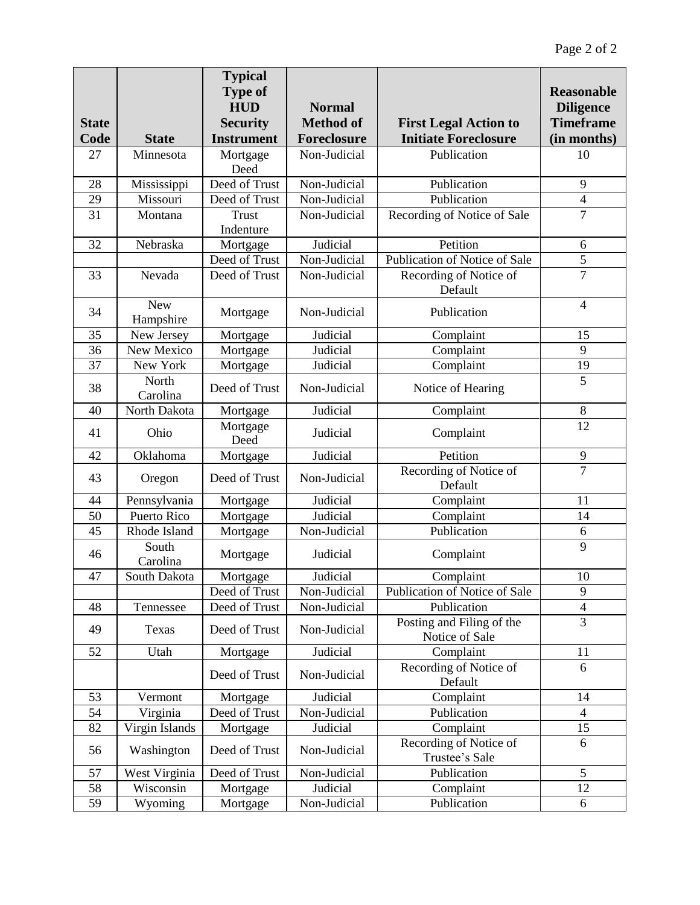|              |                           | <b>Typical</b>    |                  |                                                             |                          |
|--------------|---------------------------|-------------------|------------------|-------------------------------------------------------------|--------------------------|
|              |                           | <b>Type of</b>    |                  |                                                             | <b>Reasonable</b>        |
|              |                           | <b>HUD</b>        | <b>Normal</b>    |                                                             | <b>Diligence</b>         |
| <b>State</b> |                           | <b>Security</b>   | <b>Method of</b> | <b>First Legal Action to</b><br><b>Initiate Foreclosure</b> | <b>Timeframe</b>         |
| Code         | <b>State</b><br>Minnesota | <b>Instrument</b> | Foreclosure      |                                                             | (in months)              |
| 27           |                           | Mortgage<br>Deed  | Non-Judicial     | Publication                                                 | 10                       |
| 28           | Mississippi               | Deed of Trust     | Non-Judicial     | Publication                                                 | 9                        |
| 29           | Missouri                  | Deed of Trust     | Non-Judicial     | Publication                                                 | $\overline{4}$           |
| 31           | Montana                   | Trust             | Non-Judicial     | Recording of Notice of Sale                                 | $\tau$                   |
|              |                           | Indenture         |                  |                                                             |                          |
| 32           | Nebraska                  | Mortgage          | Judicial         | Petition                                                    | 6                        |
|              |                           | Deed of Trust     | Non-Judicial     | Publication of Notice of Sale                               | $\overline{5}$           |
| 33           | Nevada                    | Deed of Trust     | Non-Judicial     | Recording of Notice of<br>Default                           | $\overline{7}$           |
| 34           | <b>New</b><br>Hampshire   | Mortgage          | Non-Judicial     | Publication                                                 | $\overline{4}$           |
| 35           | New Jersey                | Mortgage          | Judicial         | Complaint                                                   | 15                       |
| 36           | New Mexico                | Mortgage          | Judicial         | Complaint                                                   | 9                        |
| 37           | New York                  | Mortgage          | Judicial         | Complaint                                                   | 19                       |
| 38           | North<br>Carolina         | Deed of Trust     | Non-Judicial     | Notice of Hearing                                           | $\overline{5}$           |
| 40           | North Dakota              | Mortgage          | Judicial         | Complaint                                                   | $8\,$                    |
| 41           | Ohio                      | Mortgage<br>Deed  | Judicial         | Complaint                                                   | 12                       |
| 42           | Oklahoma                  | Mortgage          | Judicial         | Petition                                                    | 9                        |
| 43           | Oregon                    | Deed of Trust     | Non-Judicial     | Recording of Notice of<br>Default                           | $\overline{7}$           |
| 44           | Pennsylvania              | Mortgage          | Judicial         | Complaint                                                   | 11                       |
| 50           | Puerto Rico               | Mortgage          | Judicial         | Complaint                                                   | 14                       |
| 45           | Rhode Island              | Mortgage          | Non-Judicial     | Publication                                                 | 6                        |
| 46           | South<br>Carolina         | Mortgage          | Judicial         | Complaint                                                   | 9                        |
| 47           | South Dakota              | Mortgage          | Judicial         | Complaint                                                   | 10                       |
|              |                           | Deed of Trust     | Non-Judicial     | Publication of Notice of Sale                               | 9                        |
| 48           | Tennessee                 | Deed of Trust     | Non-Judicial     | Publication                                                 | $\overline{\mathcal{L}}$ |
| 49           | Texas                     | Deed of Trust     | Non-Judicial     | Posting and Filing of the<br>Notice of Sale                 | $\overline{3}$           |
| 52           | Utah                      | Mortgage          | Judicial         | Complaint                                                   | 11                       |
|              |                           | Deed of Trust     | Non-Judicial     | Recording of Notice of<br>Default                           | 6                        |
| 53           | Vermont                   | Mortgage          | Judicial         | Complaint                                                   | 14                       |
| 54           | Virginia                  | Deed of Trust     | Non-Judicial     | Publication                                                 | $\overline{4}$           |
| 82           | Virgin Islands            | Mortgage          | Judicial         | Complaint                                                   | 15                       |
| 56           | Washington                | Deed of Trust     | Non-Judicial     | Recording of Notice of<br>Trustee's Sale                    | 6                        |
| 57           | West Virginia             | Deed of Trust     | Non-Judicial     | Publication                                                 | 5                        |
| 58           | Wisconsin                 | Mortgage          | Judicial         | Complaint                                                   | 12                       |
| 59           | Wyoming                   | Mortgage          | Non-Judicial     | Publication                                                 | 6                        |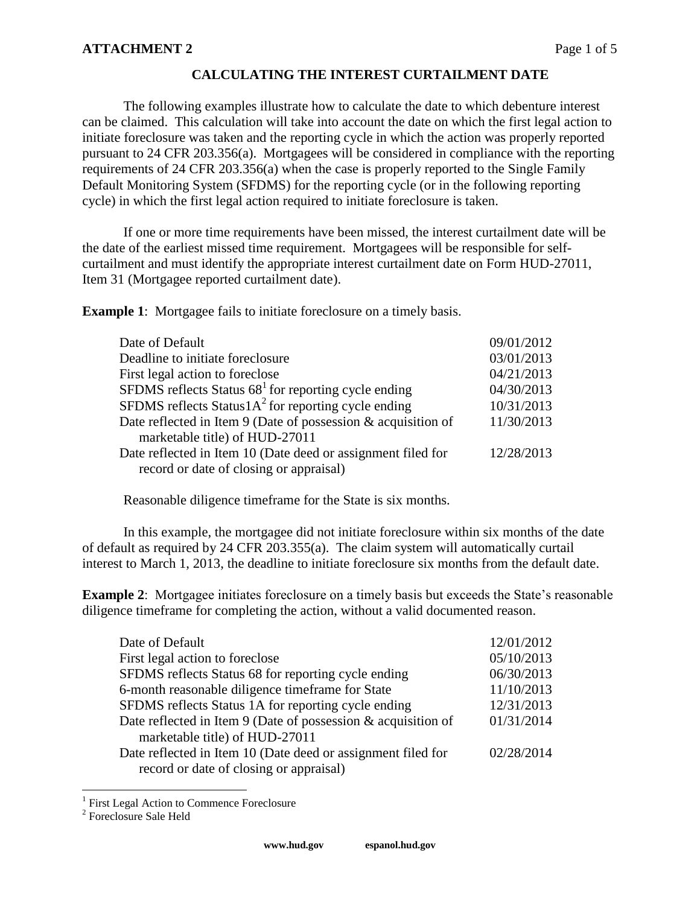## **CALCULATING THE INTEREST CURTAILMENT DATE**

The following examples illustrate how to calculate the date to which debenture interest can be claimed. This calculation will take into account the date on which the first legal action to initiate foreclosure was taken and the reporting cycle in which the action was properly reported pursuant to 24 CFR 203.356(a). Mortgagees will be considered in compliance with the reporting requirements of 24 CFR 203.356(a) when the case is properly reported to the Single Family Default Monitoring System (SFDMS) for the reporting cycle (or in the following reporting cycle) in which the first legal action required to initiate foreclosure is taken.

If one or more time requirements have been missed, the interest curtailment date will be the date of the earliest missed time requirement. Mortgagees will be responsible for selfcurtailment and must identify the appropriate interest curtailment date on Form HUD-27011, Item 31 (Mortgagee reported curtailment date).

**Example 1:** Mortgagee fails to initiate foreclosure on a timely basis.

| 09/01/2012 |
|------------|
| 03/01/2013 |
| 04/21/2013 |
| 04/30/2013 |
| 10/31/2013 |
| 11/30/2013 |
|            |
| 12/28/2013 |
|            |
|            |

Reasonable diligence timeframe for the State is six months.

In this example, the mortgagee did not initiate foreclosure within six months of the date of default as required by 24 CFR 203.355(a). The claim system will automatically curtail interest to March 1, 2013, the deadline to initiate foreclosure six months from the default date.

**Example 2**: Mortgagee initiates foreclosure on a timely basis but exceeds the State's reasonable diligence timeframe for completing the action, without a valid documented reason.

| 12/01/2012 |
|------------|
| 05/10/2013 |
| 06/30/2013 |
| 11/10/2013 |
| 12/31/2013 |
| 01/31/2014 |
|            |
| 02/28/2014 |
|            |
|            |

 1 First Legal Action to Commence Foreclosure

<sup>&</sup>lt;sup>2</sup> Foreclosure Sale Held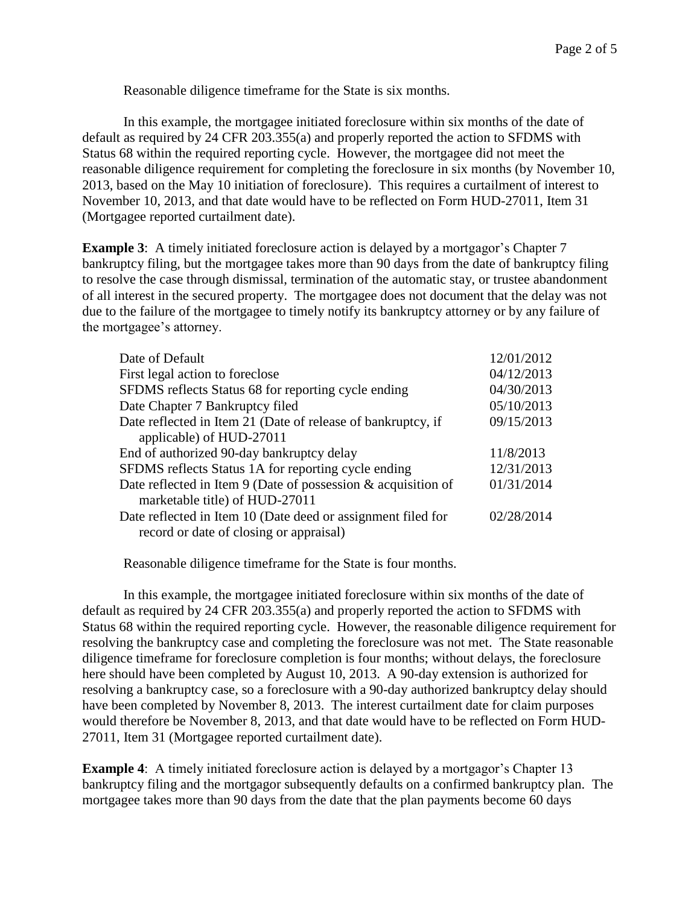Reasonable diligence timeframe for the State is six months.

In this example, the mortgagee initiated foreclosure within six months of the date of default as required by 24 CFR 203.355(a) and properly reported the action to SFDMS with Status 68 within the required reporting cycle. However, the mortgagee did not meet the reasonable diligence requirement for completing the foreclosure in six months (by November 10, 2013, based on the May 10 initiation of foreclosure). This requires a curtailment of interest to November 10, 2013, and that date would have to be reflected on Form HUD-27011, Item 31 (Mortgagee reported curtailment date).

**Example 3**: A timely initiated foreclosure action is delayed by a mortgagor's Chapter 7 bankruptcy filing, but the mortgagee takes more than 90 days from the date of bankruptcy filing to resolve the case through dismissal, termination of the automatic stay, or trustee abandonment of all interest in the secured property. The mortgagee does not document that the delay was not due to the failure of the mortgagee to timely notify its bankruptcy attorney or by any failure of the mortgagee's attorney.

| Date of Default                                                  | 12/01/2012 |
|------------------------------------------------------------------|------------|
| First legal action to foreclose                                  | 04/12/2013 |
| SFDMS reflects Status 68 for reporting cycle ending              | 04/30/2013 |
| Date Chapter 7 Bankruptcy filed                                  | 05/10/2013 |
| Date reflected in Item 21 (Date of release of bankruptcy, if     | 09/15/2013 |
| applicable) of HUD-27011                                         |            |
| End of authorized 90-day bankruptcy delay                        | 11/8/2013  |
| SFDMS reflects Status 1A for reporting cycle ending              | 12/31/2013 |
| Date reflected in Item 9 (Date of possession $\&$ acquisition of | 01/31/2014 |
| marketable title) of HUD-27011                                   |            |
| Date reflected in Item 10 (Date deed or assignment filed for     | 02/28/2014 |
| record or date of closing or appraisal)                          |            |

Reasonable diligence timeframe for the State is four months.

In this example, the mortgagee initiated foreclosure within six months of the date of default as required by 24 CFR 203.355(a) and properly reported the action to SFDMS with Status 68 within the required reporting cycle. However, the reasonable diligence requirement for resolving the bankruptcy case and completing the foreclosure was not met. The State reasonable diligence timeframe for foreclosure completion is four months; without delays, the foreclosure here should have been completed by August 10, 2013. A 90-day extension is authorized for resolving a bankruptcy case, so a foreclosure with a 90-day authorized bankruptcy delay should have been completed by November 8, 2013. The interest curtailment date for claim purposes would therefore be November 8, 2013, and that date would have to be reflected on Form HUD-27011, Item 31 (Mortgagee reported curtailment date).

**Example 4:** A timely initiated foreclosure action is delayed by a mortgagor's Chapter 13 bankruptcy filing and the mortgagor subsequently defaults on a confirmed bankruptcy plan. The mortgagee takes more than 90 days from the date that the plan payments become 60 days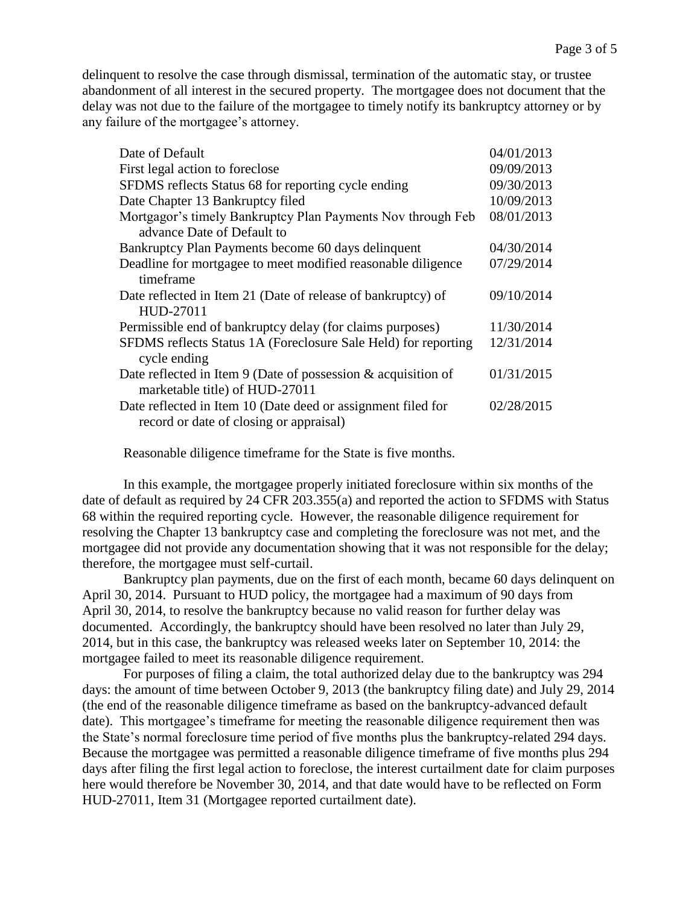delinquent to resolve the case through dismissal, termination of the automatic stay, or trustee abandonment of all interest in the secured property. The mortgagee does not document that the delay was not due to the failure of the mortgagee to timely notify its bankruptcy attorney or by any failure of the mortgagee's attorney.

| Date of Default                                                                                         | 04/01/2013 |
|---------------------------------------------------------------------------------------------------------|------------|
| First legal action to foreclose                                                                         | 09/09/2013 |
| SFDMS reflects Status 68 for reporting cycle ending                                                     | 09/30/2013 |
| Date Chapter 13 Bankruptcy filed                                                                        | 10/09/2013 |
| Mortgagor's timely Bankruptcy Plan Payments Nov through Feb                                             | 08/01/2013 |
| advance Date of Default to                                                                              |            |
| Bankruptcy Plan Payments become 60 days delinquent                                                      | 04/30/2014 |
| Deadline for mortgagee to meet modified reasonable diligence<br>timeframe                               | 07/29/2014 |
| Date reflected in Item 21 (Date of release of bankruptcy) of<br>HUD-27011                               | 09/10/2014 |
| Permissible end of bankruptcy delay (for claims purposes)                                               | 11/30/2014 |
| SFDMS reflects Status 1A (Foreclosure Sale Held) for reporting<br>cycle ending                          | 12/31/2014 |
| Date reflected in Item 9 (Date of possession $\&$ acquisition of<br>marketable title) of HUD-27011      | 01/31/2015 |
| Date reflected in Item 10 (Date deed or assignment filed for<br>record or date of closing or appraisal) | 02/28/2015 |

Reasonable diligence timeframe for the State is five months.

In this example, the mortgagee properly initiated foreclosure within six months of the date of default as required by 24 CFR 203.355(a) and reported the action to SFDMS with Status 68 within the required reporting cycle. However, the reasonable diligence requirement for resolving the Chapter 13 bankruptcy case and completing the foreclosure was not met, and the mortgagee did not provide any documentation showing that it was not responsible for the delay; therefore, the mortgagee must self-curtail.

Bankruptcy plan payments, due on the first of each month, became 60 days delinquent on April 30, 2014. Pursuant to HUD policy, the mortgagee had a maximum of 90 days from April 30, 2014, to resolve the bankruptcy because no valid reason for further delay was documented. Accordingly, the bankruptcy should have been resolved no later than July 29, 2014, but in this case, the bankruptcy was released weeks later on September 10, 2014: the mortgagee failed to meet its reasonable diligence requirement.

For purposes of filing a claim, the total authorized delay due to the bankruptcy was 294 days: the amount of time between October 9, 2013 (the bankruptcy filing date) and July 29, 2014 (the end of the reasonable diligence timeframe as based on the bankruptcy-advanced default date). This mortgagee's timeframe for meeting the reasonable diligence requirement then was the State's normal foreclosure time period of five months plus the bankruptcy-related 294 days. Because the mortgagee was permitted a reasonable diligence timeframe of five months plus 294 days after filing the first legal action to foreclose, the interest curtailment date for claim purposes here would therefore be November 30, 2014, and that date would have to be reflected on Form HUD-27011, Item 31 (Mortgagee reported curtailment date).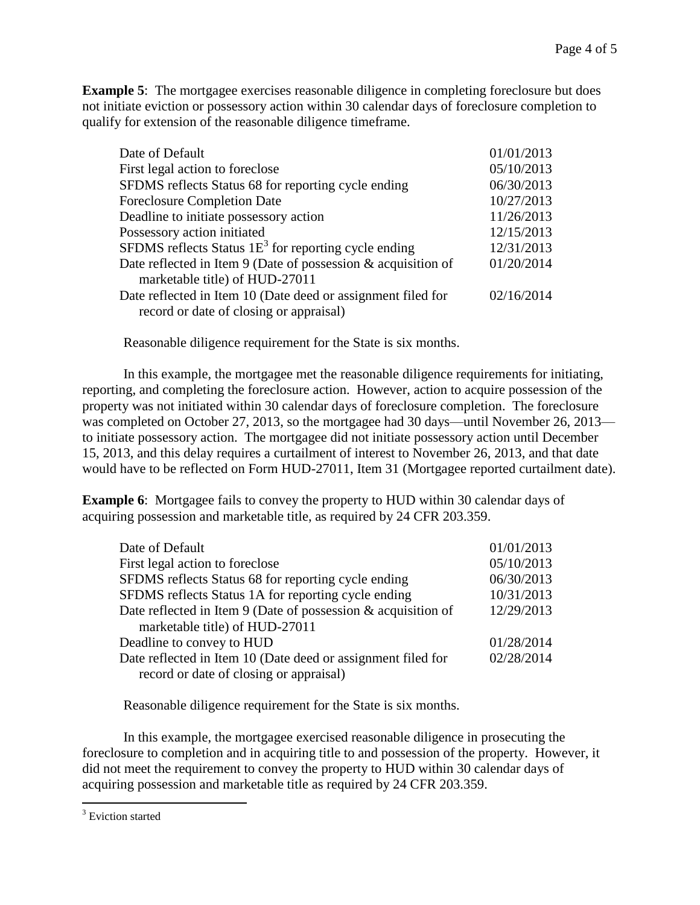**Example 5**: The mortgagee exercises reasonable diligence in completing foreclosure but does not initiate eviction or possessory action within 30 calendar days of foreclosure completion to qualify for extension of the reasonable diligence timeframe.

| Date of Default                                                  | 01/01/2013 |
|------------------------------------------------------------------|------------|
| First legal action to foreclose                                  | 05/10/2013 |
| SFDMS reflects Status 68 for reporting cycle ending              | 06/30/2013 |
| <b>Foreclosure Completion Date</b>                               | 10/27/2013 |
| Deadline to initiate possessory action                           | 11/26/2013 |
| Possessory action initiated                                      | 12/15/2013 |
| SFDMS reflects Status $1E3$ for reporting cycle ending           | 12/31/2013 |
| Date reflected in Item 9 (Date of possession $\&$ acquisition of | 01/20/2014 |
| marketable title) of HUD-27011                                   |            |
| Date reflected in Item 10 (Date deed or assignment filed for     | 02/16/2014 |
| record or date of closing or appraisal)                          |            |

Reasonable diligence requirement for the State is six months.

In this example, the mortgagee met the reasonable diligence requirements for initiating, reporting, and completing the foreclosure action. However, action to acquire possession of the property was not initiated within 30 calendar days of foreclosure completion. The foreclosure was completed on October 27, 2013, so the mortgagee had 30 days—until November 26, 2013 to initiate possessory action. The mortgagee did not initiate possessory action until December 15, 2013, and this delay requires a curtailment of interest to November 26, 2013, and that date would have to be reflected on Form HUD-27011, Item 31 (Mortgagee reported curtailment date).

**Example 6**: Mortgagee fails to convey the property to HUD within 30 calendar days of acquiring possession and marketable title, as required by 24 CFR 203.359.

| Date of Default                                                  | 01/01/2013 |
|------------------------------------------------------------------|------------|
| First legal action to foreclose                                  | 05/10/2013 |
| SFDMS reflects Status 68 for reporting cycle ending              | 06/30/2013 |
| SFDMS reflects Status 1A for reporting cycle ending              | 10/31/2013 |
| Date reflected in Item 9 (Date of possession $\&$ acquisition of | 12/29/2013 |
| marketable title) of HUD-27011                                   |            |
| Deadline to convey to HUD                                        | 01/28/2014 |
| Date reflected in Item 10 (Date deed or assignment filed for     | 02/28/2014 |
| record or date of closing or appraisal)                          |            |

Reasonable diligence requirement for the State is six months.

In this example, the mortgagee exercised reasonable diligence in prosecuting the foreclosure to completion and in acquiring title to and possession of the property. However, it did not meet the requirement to convey the property to HUD within 30 calendar days of acquiring possession and marketable title as required by 24 CFR 203.359.

 $\overline{a}$ 

 $3$  Eviction started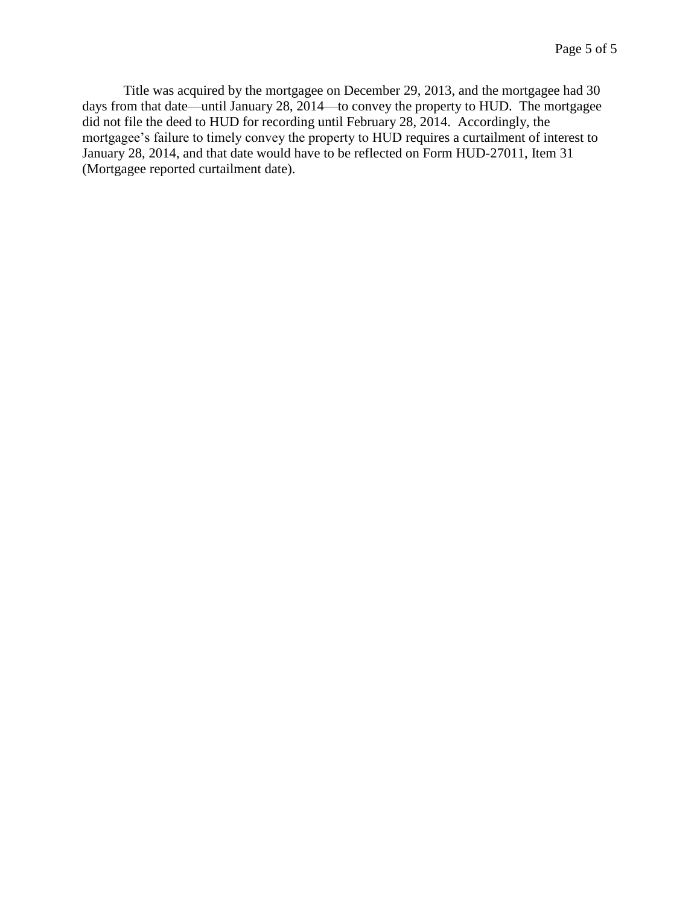Title was acquired by the mortgagee on December 29, 2013, and the mortgagee had 30 days from that date—until January 28, 2014—to convey the property to HUD. The mortgagee did not file the deed to HUD for recording until February 28, 2014. Accordingly, the mortgagee's failure to timely convey the property to HUD requires a curtailment of interest to January 28, 2014, and that date would have to be reflected on Form HUD-27011, Item 31 (Mortgagee reported curtailment date).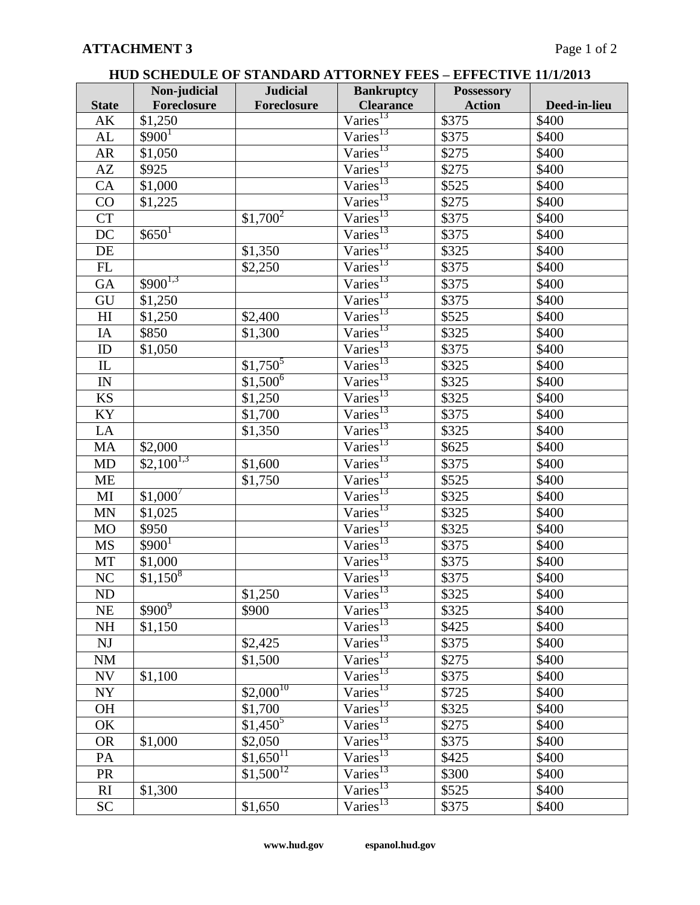| <b>HUD SCHEDULE OF STANDARD ATTORNEY FEES – EFFECTIVE 11/1/2013</b> |
|---------------------------------------------------------------------|
|---------------------------------------------------------------------|

|                         | Non-judicial       | <b>Judicial</b>        | <b>Bankruptcy</b>                          | <b>Possessory</b> |              |
|-------------------------|--------------------|------------------------|--------------------------------------------|-------------------|--------------|
| <b>State</b>            | Foreclosure        | Foreclosure            | <b>Clearance</b>                           | <b>Action</b>     | Deed-in-lieu |
| AK                      | \$1,250            |                        | Varies <sup>13</sup>                       | \$375             | \$400        |
| AL                      | \$900 <sup>1</sup> |                        | Varies <sup>13</sup>                       | \$375             | \$400        |
| AR                      | \$1,050            |                        | Varies <sup>13</sup>                       | \$275             | \$400        |
| AZ                      | \$925              |                        | Varies <sup>13</sup>                       | \$275             | \$400        |
| CA                      | \$1,000            |                        | $\overline{\text{Varies}^{13}}$            | \$525             | \$400        |
| CO                      | \$1,225            |                        | Varies <sup>13</sup>                       | \$275             | \$400        |
| <b>CT</b>               |                    | $$1,700^2$             | Varies <sup>13</sup>                       | \$375             | \$400        |
| DC                      | $$650^1$           |                        | Varies <sup>13</sup>                       | \$375             | \$400        |
| DE                      |                    | \$1,350                | $\overline{\text{Varies}}^{13}$            | $\overline{$}325$ | \$400        |
| $\mathbf{FL}$           |                    | \$2,250                | Varies <sup>13</sup>                       | \$375             | \$400        |
| GA                      | $$900^{1,3}$       |                        | Varies <sup>13</sup>                       | \$375             | \$400        |
| GU                      | \$1,250            |                        | $\overline{\text{Varies}^{13}}$            | \$375             | \$400        |
| H <sub>I</sub>          | \$1,250            | \$2,400                | $\text{Varies}^{13}$                       | \$525             | \$400        |
| $\rm IA$                | \$850              | \$1,300                | $\overline{\text{Varies}^{13}}$            | \$325             | \$400        |
| $\rm ID$                | \$1,050            |                        | Varies <sup>13</sup>                       | \$375             | \$400        |
| IL                      |                    | $$1,750^5$             | Varies <sup>13</sup>                       | \$325             | \$400        |
| $\mathbb{I}\mathcal{N}$ |                    | $\sqrt[3]{1,500^6}$    | Varies <sup>13</sup>                       | $\overline{$}325$ | \$400        |
| KS                      |                    | \$1,250                | $\overline{\text{Varies}}^{13}$            | \$325             | \$400        |
| KY                      |                    | \$1,700                | Varies <sup>13</sup>                       | \$375             | \$400        |
| LA                      |                    | \$1,350                | $\overline{\text{Varies}}^{13}$            | \$325             | \$400        |
| MA                      | \$2,000            |                        | Varies <sup>13</sup>                       | \$625             | \$400        |
| MD                      | $$2,100^{1,3}$     | \$1,600                | $\overline{\text{Varies}}^{13}$            | \$375             | \$400        |
| ME                      |                    | \$1,750                | Varies <sup>13</sup>                       | \$525             | \$400        |
| MI                      | $$1,000^7$         |                        | Varies <sup>13</sup>                       | \$325             | \$400        |
| MN                      | \$1,025            |                        | Varies <sup>13</sup>                       | \$325             | \$400        |
| MO                      | \$950              |                        | $\overline{\text{Varies}}^{13}$            | \$325             | \$400        |
| <b>MS</b>               | $$900^1$           |                        | $\overline{\text{Varies}}^{13}$            | \$375             | \$400        |
| MT                      | \$1,000            |                        | Varies <sup>13</sup>                       | \$375             | \$400        |
| $\rm NC$                | $$1,150^8$         |                        | $\overline{\mathrm{V}\mathrm{aries}}^{13}$ | \$375             | \$400        |
| ND                      |                    | \$1,250                | Varies <sup>13</sup>                       | \$325             | \$400        |
| <b>NE</b>               | $$900^9$           | \$900                  | Varies <sup>13</sup>                       | \$325             | \$400        |
| <b>NH</b>               | \$1,150            |                        | Varies <sup>13</sup>                       | \$425             | \$400        |
| NJ                      |                    | \$2,425                | Varies <sup>13</sup>                       | \$375             | \$400        |
| NM                      |                    | \$1,500                | Varies <sup>13</sup>                       | \$275             | \$400        |
| NV                      | \$1,100            |                        | Varies <sup>13</sup>                       | \$375             | \$400        |
| NY                      |                    | $$2,000^{10}$          | Varies <sup>13</sup>                       | \$725             | \$400        |
| <b>OH</b>               |                    | \$1,700                | $\overline{\mathrm{V}\mathrm{aries}}^{13}$ | \$325             | \$400        |
| OK                      |                    | $$1,450^5$             | Varies <sup>13</sup>                       | \$275             | \$400        |
| <b>OR</b>               | \$1,000            | \$2,050                | Varies <sup>13</sup>                       | \$375             | \$400        |
| PA                      |                    | $$1,650$ <sup>11</sup> | Varies <sup>13</sup>                       | \$425             | \$400        |
| PR                      |                    | $$1,500^{12}$          | $\overline{\text{Varies}}^{13}$            | \$300             | \$400        |
| RI                      | \$1,300            |                        | $\text{Varies}^{13}$                       | \$525             | \$400        |
| <b>SC</b>               |                    | \$1,650                | Varies <sup>13</sup>                       | \$375             | \$400        |